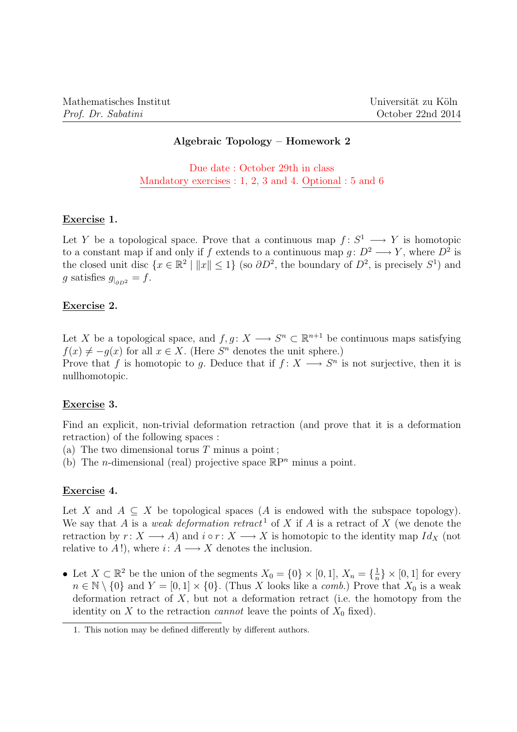# Algebraic Topology – Homework 2

Due date : October 29th in class Mandatory exercises : 1, 2, 3 and 4. Optional : 5 and 6

## Exercise 1.

Let Y be a topological space. Prove that a continuous map  $f: S^1 \longrightarrow Y$  is homotopic to a constant map if and only if f extends to a continuous map  $g: D^2 \longrightarrow Y$ , where  $D^2$  is the closed unit disc  $\{x \in \mathbb{R}^2 \mid ||x|| \leq 1\}$  (so  $\partial D^2$ , the boundary of  $D^2$ , is precisely  $S^1$ ) and g satisfies  $g_{|_{\partial D^2}} = f$ .

## Exercise 2.

Let X be a topological space, and  $f, g \colon X \longrightarrow S^n \subset \mathbb{R}^{n+1}$  be continuous maps satisfying  $f(x) \neq -g(x)$  for all  $x \in X$ . (Here  $S<sup>n</sup>$  denotes the unit sphere.) Prove that f is homotopic to g. Deduce that if  $f: X \longrightarrow S^n$  is not surjective, then it is nullhomotopic.

## Exercise 3.

Find an explicit, non-trivial deformation retraction (and prove that it is a deformation retraction) of the following spaces :

- (a) The two dimensional torus  $T$  minus a point;
- (b) The *n*-dimensional (real) projective space  $\mathbb{R}P^n$  minus a point.

#### Exercise 4.

Let X and  $A \subseteq X$  be topological spaces (A is endowed with the subspace topology). We say that A is a weak deformation retract<sup>1</sup> of X if A is a retract of X (we denote the retraction by  $r: X \longrightarrow A$ ) and  $i \circ r: X \longrightarrow X$  is homotopic to the identity map  $Id_X$  (not relative to A!), where  $i: A \longrightarrow X$  denotes the inclusion.

• Let  $X \subset \mathbb{R}^2$  be the union of the segments  $X_0 = \{0\} \times [0,1], X_n = \{\frac{1}{n}\}$  $\frac{1}{n}$   $\times$  [0, 1] for every  $n \in \mathbb{N} \setminus \{0\}$  and  $Y = [0, 1] \times \{0\}$ . (Thus X looks like a *comb*.) Prove that  $X_0$  is a weak deformation retract of  $X$ , but not a deformation retract (i.e. the homotopy from the identity on X to the retraction *cannot* leave the points of  $X_0$  fixed).

<sup>1.</sup> This notion may be defined differently by different authors.